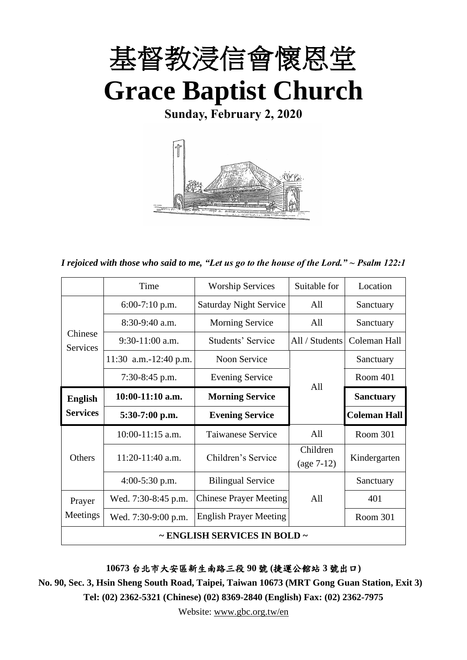

**Sunday, February 2, 2020**



*I rejoiced with those who said to me, "Let us go to the house of the Lord." ~ Psalm 122:1*

|                            | Time                  | <b>Worship Services</b>       | Suitable for   | Location            |
|----------------------------|-----------------------|-------------------------------|----------------|---------------------|
|                            | $6:00-7:10$ p.m.      | <b>Saturday Night Service</b> | All            | Sanctuary           |
|                            | $8:30-9:40$ a.m.      | <b>Morning Service</b>        | All            | Sanctuary           |
| Chinese<br><b>Services</b> | $9:30-11:00$ a.m.     | Students' Service             | All / Students | Coleman Hall        |
|                            | 11:30 a.m.-12:40 p.m. | Noon Service                  |                | Sanctuary           |
|                            | $7:30-8:45$ p.m.      | <b>Evening Service</b>        | All            | Room 401            |
| <b>English</b>             | $10:00-11:10$ a.m.    | <b>Morning Service</b>        |                | <b>Sanctuary</b>    |
| <b>Services</b>            | $5:30-7:00$ p.m.      | <b>Evening Service</b>        |                | <b>Coleman Hall</b> |
|                            | $10:00-11:15$ a.m.    | <b>Taiwanese Service</b>      | A11            | Room 301            |
| Others                     | 11:20-11:40 a.m.      | Children's Service            | Children       | Kindergarten        |
|                            |                       |                               | $(age 7-12)$   |                     |
|                            | $4:00-5:30$ p.m.      | <b>Bilingual Service</b>      |                | Sanctuary           |
| Prayer                     | Wed. 7:30-8:45 p.m.   | <b>Chinese Prayer Meeting</b> | A11            | 401                 |
| Meetings                   | Wed. 7:30-9:00 p.m.   | <b>English Prayer Meeting</b> |                | Room 301            |
|                            |                       | ~ ENGLISH SERVICES IN BOLD ~  |                |                     |

**10673** 台北市大安區新生南路三段 **90** 號 **(**捷運公館站 **3** 號出口**)**

**No. 90, Sec. 3, Hsin Sheng South Road, Taipei, Taiwan 10673 (MRT Gong Guan Station, Exit 3) Tel: (02) 2362-5321 (Chinese) (02) 8369-2840 (English) Fax: (02) 2362-7975**

Website: [www.gbc.org.tw/en](http://www.gbc.org.tw/en)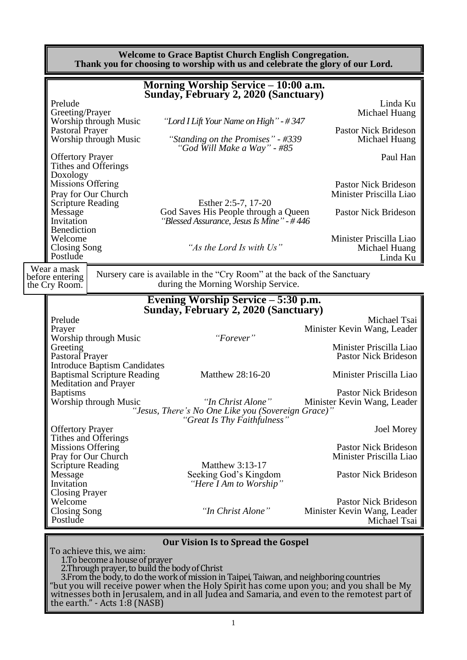#### **Welcome to Grace Baptist Church English Congregation. Thank you for choosing to worship with us and celebrate the glory of our Lord.**

|                                                                                                                                                                                                                                          |                                                                                                                                                                                                            | Morning Worship Service – 10:00 a.m.                                                                                                                                                                                                                                                                                                                                              |                                                                                                                                                                                                                                                                                                                                                                                            |
|------------------------------------------------------------------------------------------------------------------------------------------------------------------------------------------------------------------------------------------|------------------------------------------------------------------------------------------------------------------------------------------------------------------------------------------------------------|-----------------------------------------------------------------------------------------------------------------------------------------------------------------------------------------------------------------------------------------------------------------------------------------------------------------------------------------------------------------------------------|--------------------------------------------------------------------------------------------------------------------------------------------------------------------------------------------------------------------------------------------------------------------------------------------------------------------------------------------------------------------------------------------|
|                                                                                                                                                                                                                                          |                                                                                                                                                                                                            | Sunday, February 2, 2020 (Sanctuary)                                                                                                                                                                                                                                                                                                                                              |                                                                                                                                                                                                                                                                                                                                                                                            |
| Prelude<br>Greeting/Prayer                                                                                                                                                                                                               | Worship through Music                                                                                                                                                                                      | "Lord I Lift Your Name on High" - #347                                                                                                                                                                                                                                                                                                                                            | Linda Ku<br>Michael Huang                                                                                                                                                                                                                                                                                                                                                                  |
| Pastoral Prayer                                                                                                                                                                                                                          | Worship through Music                                                                                                                                                                                      | "Standing on the Promises" - #339                                                                                                                                                                                                                                                                                                                                                 | <b>Pastor Nick Brideson</b><br>Michael Huang                                                                                                                                                                                                                                                                                                                                               |
| <b>Offertory Prayer</b>                                                                                                                                                                                                                  | Tithes and Offerings                                                                                                                                                                                       | "God Will Make a Way" - #85                                                                                                                                                                                                                                                                                                                                                       | Paul Han                                                                                                                                                                                                                                                                                                                                                                                   |
| Doxology<br>Missions Offering<br><b>Scripture Reading</b><br>Message                                                                                                                                                                     | Pray for Our Church                                                                                                                                                                                        | Esther 2:5-7, 17-20<br>God Saves His People through a Queen                                                                                                                                                                                                                                                                                                                       | <b>Pastor Nick Brideson</b><br>Minister Priscilla Liao<br><b>Pastor Nick Brideson</b>                                                                                                                                                                                                                                                                                                      |
| Invitation<br>Benediction<br>Welcome<br>Closing Song<br>Postlude                                                                                                                                                                         |                                                                                                                                                                                                            | "Blessed Assurance, Jesus Is Mine" - #446<br>"As the Lord Is with Us"                                                                                                                                                                                                                                                                                                             | Minister Priscilla Liao<br>Michael Huang<br>Linda Ku                                                                                                                                                                                                                                                                                                                                       |
| Wear a mask<br>before entering<br>the Cry Room.                                                                                                                                                                                          |                                                                                                                                                                                                            | Nursery care is available in the "Cry Room" at the back of the Sanctuary<br>during the Morning Worship Service.                                                                                                                                                                                                                                                                   |                                                                                                                                                                                                                                                                                                                                                                                            |
|                                                                                                                                                                                                                                          |                                                                                                                                                                                                            | Evening Worship Service – 5:30 p.m.                                                                                                                                                                                                                                                                                                                                               |                                                                                                                                                                                                                                                                                                                                                                                            |
| Prelude<br>Prayer<br>Greeting<br>Pastoral Prayer<br><b>Baptisms</b><br><b>Offertory Prayer</b><br>Missions Offering<br><b>Scripture Reading</b><br>Message<br>Invitation<br><b>Closing Prayer</b><br>Welcome<br>Closing Song<br>Postlude | Worship through Music<br><b>Introduce Baptism Candidates</b><br><b>Baptismal Scripture Reading</b><br><b>Meditation and Prayer</b><br>Worship through Music<br>Tithes and Offerings<br>Pray for Our Church | Sunday, February 2, 2020 (Sanctuary)<br>"Forever"<br>Matthew 28:16-20<br>"In Christ Alone"<br>"Jesus, There's No One Like you (Sovereign Grace)"<br>"Great Is Thy Faithfulness"<br>Matthew 3:13-17<br>Seeking God's Kingdom<br>"Here I Am to Worship"<br>"In Christ Alone"                                                                                                        | Michael Tsai<br>Minister Kevin Wang, Leader<br>Minister Priscilla Liao<br><b>Pastor Nick Brideson</b><br>Minister Priscilla Liao<br><b>Pastor Nick Brideson</b><br>Minister Kevin Wang, Leader<br><b>Joel Morey</b><br><b>Pastor Nick Brideson</b><br>Minister Priscilla Liao<br><b>Pastor Nick Brideson</b><br><b>Pastor Nick Brideson</b><br>Minister Kevin Wang, Leader<br>Michael Tsai |
|                                                                                                                                                                                                                                          | To achieve this, we aim:<br>1. To become a house of prayer                                                                                                                                                 | <b>Our Vision Is to Spread the Gospel</b><br>2. Through prayer, to build the body of Christ<br>3. From the body, to do the work of mission in Taipei, Taiwan, and neighboring countries<br>"but you will receive power when the Holy Spirit has come upon you; and you shall be My<br>witnesses both in Jerusalem, and in all Judea and Samaria, and even to the remotest part of |                                                                                                                                                                                                                                                                                                                                                                                            |

the earth." - Acts  $1.8$  (NASB)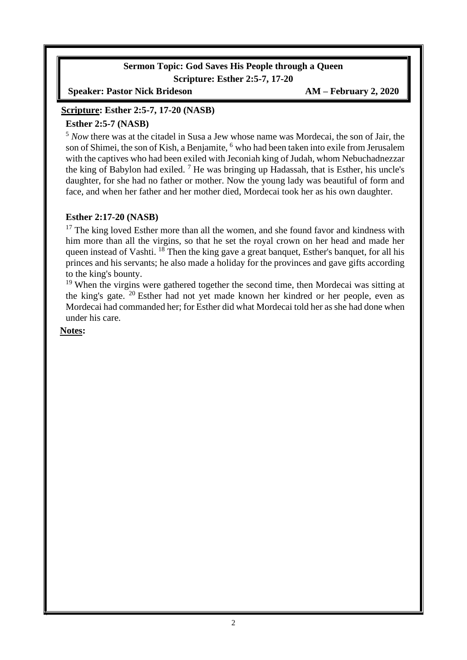### **Sermon Topic: God Saves His People through a Queen Scripture: Esther 2:5-7, 17-20**

**Speaker: Pastor Nick Brideson AM – February 2, 2020**

### **Scripture: Esther 2:5-7, 17-20 (NASB)**

### **Esther 2:5-7 (NASB)**

<sup>5</sup> *Now* there was at the citadel in Susa a Jew whose name was Mordecai, the son of Jair, the son of Shimei, the son of Kish, a Benjamite, <sup>6</sup> who had been taken into exile from Jerusalem with the captives who had been exiled with Jeconiah king of Judah, whom Nebuchadnezzar the king of Babylon had exiled.  $^7$  He was bringing up Hadassah, that is Esther, his uncle's daughter, for she had no father or mother. Now the young lady was beautiful of form and face, and when her father and her mother died, Mordecai took her as his own daughter.

### **Esther 2:17-20 (NASB)**

 $17$  The king loved Esther more than all the women, and she found favor and kindness with him more than all the virgins, so that he set the royal crown on her head and made her queen instead of Vashti. <sup>18</sup> Then the king gave a great banquet, Esther's banquet, for all his princes and his servants; he also made a holiday for the provinces and gave gifts according to the king's bounty.

<sup>19</sup> When the virgins were gathered together the second time, then Mordecai was sitting at the king's gate. <sup>20</sup> Esther had not yet made known her kindred or her people, even as Mordecai had commanded her; for Esther did what Mordecai told her as she had done when under his care.

#### **Notes:**

 $\overline{\phantom{a}}$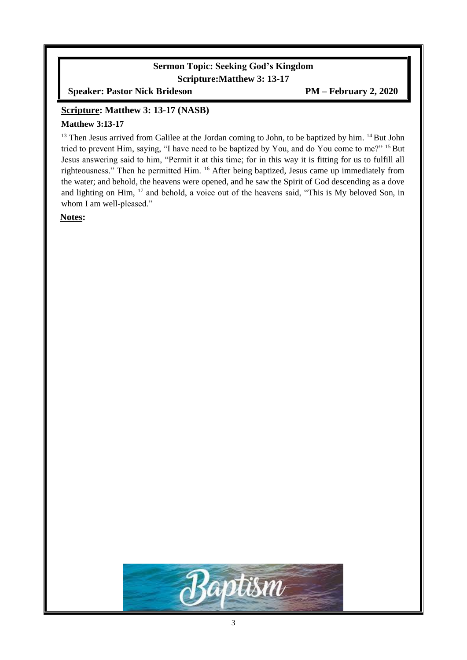### **Sermon Topic: Seeking God's Kingdom Scripture:Matthew 3: 13-17**

**Speaker: Pastor Nick Brideson PM – February 2, 2020**

#### **Scripture: Matthew 3: 13-17 (NASB)**

#### **Matthew 3:13-17**

 $13$  Then Jesus arrived from Galilee at the Jordan coming to John, to be baptized by him.  $14$  But John tried to prevent Him, saying, "I have need to be baptized by You, and do You come to me?" <sup>15</sup> But Jesus answering said to him, "Permit it at this time; for in this way it is fitting for us to fulfill all righteousness." Then he permitted Him. <sup>16</sup> After being baptized, Jesus came up immediately from the water; and behold, the heavens were opened, and he saw the Spirit of God descending as a dove and lighting on Him, <sup>17</sup> and behold, a voice out of the heavens said, "This is My beloved Son, in whom I am well-pleased."

**Notes:**

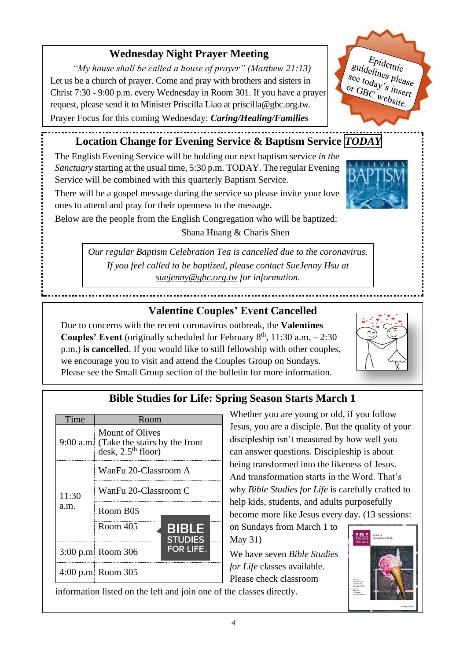## **Wednesday Night Prayer Meeting**

*"My house shall be called a house of prayer" (Matthew 21:13)* Let us be a church of prayer. Come and pray with brothers and sisters in Christ 7:30 - 9:00 p.m. every Wednesday in Room 301. If you have a prayer request, please send it to Minister Priscilla Liao at [priscilla@gbc.org.tw.](mailto:priscilla@gbc.org.tw)

Prayer Focus for this coming Wednesday: *Caring/Healing/Families*



## **Location Change for Evening Service & Baptism Service** *TODAY*

The English Evening Service will be holding our next baptism service *in the Sanctuary* starting at the usual time, 5:30 p.m. TODAY. The regular Evening Service will be combined with this quarterly Baptism Service.

There will be a gospel message during the service so please invite your love ones to attend and pray for their openness to the message.



Below are the people from the English Congregation who will be baptized:

Shana Huang & Charis Shen

*Our regular Baptism Celebration Tea is cancelled due to the coronavirus. If you feel called to be baptized, please contact SueJenny Hsu at [suejenny@gbc.org.tw](mailto:suejenny@gbc.org.tw) for information.*

### **Valentine Couples' Event Cancelled**

Due to concerns with the recent coronavirus outbreak, the **Valentines Couples' Event** (originally scheduled for February  $8<sup>th</sup>$ , 11:30 a.m.  $-2:30$ p.m.) **is cancelled**. If you would like to still fellowship with other couples, we encourage you to visit and attend the Couples Group on Sundays. Please see the Small Group section of the bulletin for more information.



# **Bible Studies for Life: Spring Season Starts March 1**

| Time  | Room                                                                                                |                                |
|-------|-----------------------------------------------------------------------------------------------------|--------------------------------|
|       | Mount of Olives<br>9:00 a.m. (Take the stairs by the front<br>$\text{desk}, 2.5^{\text{th}}$ floor) |                                |
|       | WanFu 20-Classroom A                                                                                |                                |
| 11:30 | WanFu 20-Classroom C                                                                                |                                |
| a.m.  | Room B05                                                                                            |                                |
|       | Room 405                                                                                            | <b>BIBLE</b><br><b>STUDIES</b> |
|       | 3:00 p.m. Room 306                                                                                  | <b>FOR LIFE.</b>               |
|       | 4:00 p.m. Room $305$                                                                                |                                |

information listed on the left and join one of the classes directly.

Whether you are young or old, if you follow Jesus, you are a disciple. But the quality of your discipleship isn't measured by how well you can answer questions. Discipleship is about being transformed into the likeness of Jesus. And transformation starts in the Word. That's why *Bible Studies for Life* is carefully crafted to help kids, students, and adults purposefully become more like Jesus every day. (13 sessions:

on Sundays from March 1 to May 31)

We have seven *Bible Studies for Life* classes available. Please check classroom

**BIBLE**<br>STUDIES

4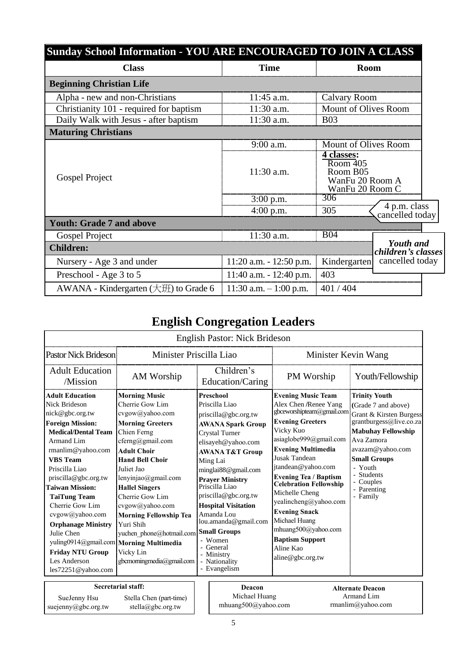| Sunday School Information - YOU ARE ENCOURAGED TO JOIN A CLASS |                            |                                                                          |                                        |  |
|----------------------------------------------------------------|----------------------------|--------------------------------------------------------------------------|----------------------------------------|--|
| <b>Class</b>                                                   | <b>Time</b>                | <b>Room</b>                                                              |                                        |  |
| <b>Beginning Christian Life</b>                                |                            |                                                                          |                                        |  |
| Alpha - new and non-Christians                                 | 11:45 a.m.                 | <b>Calvary Room</b>                                                      |                                        |  |
| Christianity 101 - required for baptism                        | 11:30 a.m.                 | Mount of Olives Room                                                     |                                        |  |
| Daily Walk with Jesus - after baptism                          | 11:30 a.m.                 | <b>B03</b>                                                               |                                        |  |
| <b>Maturing Christians</b>                                     |                            |                                                                          |                                        |  |
|                                                                | 9:00 a.m.                  | Mount of Olives Room                                                     |                                        |  |
| Gospel Project                                                 | $11:30$ a.m.               | 4 classes:<br>Room 405<br>Room B05<br>WanFu 20 Room A<br>WanFu 20 Room C |                                        |  |
|                                                                | $3:00$ p.m.                | 306                                                                      |                                        |  |
|                                                                | $4:00$ p.m.                | 305                                                                      | 4 p.m. class<br>cancelled today        |  |
| <b>Youth: Grade 7 and above</b>                                |                            |                                                                          |                                        |  |
| Gospel Project                                                 | 11:30 a.m.                 | <b>B04</b>                                                               |                                        |  |
| <b>Children:</b>                                               |                            |                                                                          | <b>Youth</b> and<br>children's classes |  |
| Nursery - Age 3 and under                                      | $11:20$ a.m. $-12:50$ p.m. | Kindergarten                                                             | cancelled today                        |  |
| Preschool - Age 3 to 5                                         | $11:40$ a.m. $-12:40$ p.m. | 403                                                                      |                                        |  |
| AWANA - Kindergarten $(\pm \mathcal{H})$ to Grade 6            | $11:30$ a.m. $-1:00$ p.m.  | 401/404                                                                  |                                        |  |

# **English Congregation Leaders**

|                                                                                                                                                                                                                                                                                                                                                                                  |                                                                                                                                                                                                                                                                                                                                                                                                                  | English Pastor: Nick Brideson                                                                                                                                                                                                                                                                                                                                                                               |                                                                                                                                                                                                                                                                                                                                                                                                                                          |                                                                                                                                                                                                                                                          |
|----------------------------------------------------------------------------------------------------------------------------------------------------------------------------------------------------------------------------------------------------------------------------------------------------------------------------------------------------------------------------------|------------------------------------------------------------------------------------------------------------------------------------------------------------------------------------------------------------------------------------------------------------------------------------------------------------------------------------------------------------------------------------------------------------------|-------------------------------------------------------------------------------------------------------------------------------------------------------------------------------------------------------------------------------------------------------------------------------------------------------------------------------------------------------------------------------------------------------------|------------------------------------------------------------------------------------------------------------------------------------------------------------------------------------------------------------------------------------------------------------------------------------------------------------------------------------------------------------------------------------------------------------------------------------------|----------------------------------------------------------------------------------------------------------------------------------------------------------------------------------------------------------------------------------------------------------|
| Pastor Nick Brideson                                                                                                                                                                                                                                                                                                                                                             | Minister Priscilla Liao                                                                                                                                                                                                                                                                                                                                                                                          |                                                                                                                                                                                                                                                                                                                                                                                                             | Minister Kevin Wang                                                                                                                                                                                                                                                                                                                                                                                                                      |                                                                                                                                                                                                                                                          |
| <b>Adult Education</b><br>/Mission                                                                                                                                                                                                                                                                                                                                               | AM Worship                                                                                                                                                                                                                                                                                                                                                                                                       | Children's<br>Education/Caring                                                                                                                                                                                                                                                                                                                                                                              | PM Worship                                                                                                                                                                                                                                                                                                                                                                                                                               | Youth/Fellowship                                                                                                                                                                                                                                         |
| <b>Adult Education</b><br>Nick Brideson<br>nick@gbc.org.tw<br><b>Foreign Mission:</b><br><b>Medical/Dental Team</b><br>Armand Lim<br>rmanlim@yahoo.com<br><b>VBS</b> Team<br>Priscilla Liao<br>priscilla@gbc.org.tw<br><b>Taiwan Mission:</b><br><b>TaiTung Team</b><br>Cherrie Gow Lim<br>cvgow@yahoo.com<br><b>Orphanage Ministry</b><br>Julie Chen<br><b>Friday NTU Group</b> | <b>Morning Music</b><br>Cherrie Gow Lim<br>cvgow@yahoo.com<br><b>Morning Greeters</b><br>Chien Ferng<br>cferng@gmail.com<br><b>Adult Choir</b><br><b>Hand Bell Choir</b><br>Juliet Jao<br>lenyinjao@gmail.com<br><b>Hallel Singers</b><br>Cherrie Gow Lim<br>cvgow@yahoo.com<br><b>Morning Fellowship Tea</b><br>Yuri Shih<br>yuchen phone@hotmail.com<br>yuling0914@gmail.com   Morning Multimedia<br>Vicky Lin | <b>Preschool</b><br>Priscilla Liao<br>priscilla@gbc.org.tw<br><b>AWANA Spark Group</b><br><b>Crystal Turner</b><br>elisayeh@yahoo.com<br><b>AWANA T&amp;T Group</b><br>Ming Lai<br>minglai88@gmail.com<br><b>Prayer Ministry</b><br>Priscilla Liao<br>priscilla@gbc.org.tw<br><b>Hospital Visitation</b><br>Amanda Lou<br>lou.amanda@gmail.com<br><b>Small Groups</b><br>- Women<br>- General<br>- Ministry | <b>Evening Music Team</b><br>Alex Chen /Renee Yang<br>gbceworshipteam@gmail.com<br><b>Evening Greeters</b><br>Vicky Kuo<br>asiaglobe999@gmail.com<br><b>Evening Multimedia</b><br>Jusak Tandean<br>jtandean@yahoo.com<br><b>Evening Tea / Baptism</b><br><b>Celebration Fellowship</b><br>Michelle Cheng<br>yealincheng@yahoo.com<br><b>Evening Snack</b><br>Michael Huang<br>mhuang500@yahoo.com<br><b>Baptism Support</b><br>Aline Kao | <b>Trinity Youth</b><br>(Grade 7 and above)<br>Grant & Kirsten Burgess<br>grantburgess@live.co.za<br><b>Mabuhay Fellowship</b><br>Ava Zamora<br>avazam@yahoo.com<br><b>Small Groups</b><br>- Youth<br>- Students<br>- Couples<br>- Parenting<br>- Family |
| Les Anderson<br>les72251@yahoo.com                                                                                                                                                                                                                                                                                                                                               | gbcmorningmedia@gmail.com                                                                                                                                                                                                                                                                                                                                                                                        | - Nationality<br>- Evangelism                                                                                                                                                                                                                                                                                                                                                                               | aline@gbc.org.tw                                                                                                                                                                                                                                                                                                                                                                                                                         |                                                                                                                                                                                                                                                          |
| SueJenny Hsu<br>suejenny@gbc.org.tw                                                                                                                                                                                                                                                                                                                                              | <b>Secretarial staff:</b><br>Stella Chen (part-time)<br>stella@gbc.org.tw                                                                                                                                                                                                                                                                                                                                        | Deacon<br>Michael Huang<br>mhuang500@yahoo.com                                                                                                                                                                                                                                                                                                                                                              |                                                                                                                                                                                                                                                                                                                                                                                                                                          | <b>Alternate Deacon</b><br>Armand Lim<br>rmanlim@yahoo.com                                                                                                                                                                                               |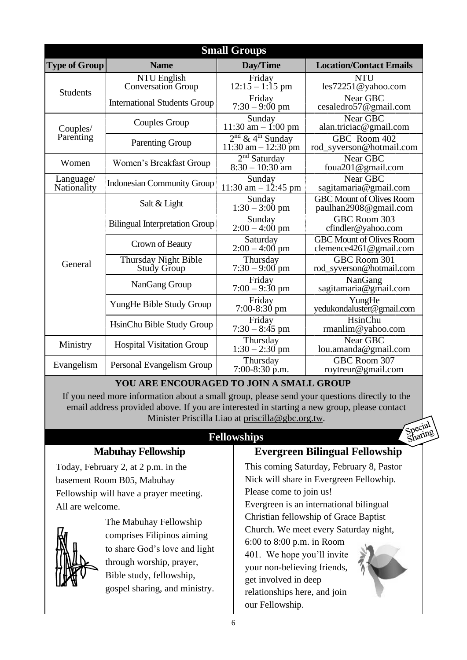|                          |                                          | <b>Small Groups</b>                                       |                                                           |
|--------------------------|------------------------------------------|-----------------------------------------------------------|-----------------------------------------------------------|
| <b>Type of Group</b>     | <b>Name</b>                              | Day/Time                                                  | <b>Location/Contact Emails</b>                            |
| <b>Students</b>          | NTU English<br><b>Conversation Group</b> | Friday<br>$12:15 - 1:15$ pm                               | <b>NTU</b><br>les72251@yahoo.com                          |
|                          | <b>International Students Group</b>      | Friday<br>$7:30 - 9:00 \text{ pm}$                        | Near GBC<br>cesaledro57@gmail.com                         |
| Couples/                 | Couples Group                            | Sunday<br>11:30 am $-$ 1:00 pm                            | Near GBC<br>alan.triciac@gmail.com                        |
| Parenting                | <b>Parenting Group</b>                   | $2nd$ & 4 <sup>th</sup> Sunday<br>$11:30$ am $- 12:30$ pm | GBC Room 402<br>rod_syverson@hotmail.com                  |
| Women                    | Women's Breakfast Group                  | 2 <sup>nd</sup> Saturday<br>$8:30 - 10:30$ am             | Near GBC<br>foua201@gmail.com                             |
| Language/<br>Nationality | <b>Indonesian Community Group</b>        | Sunday<br>$11:30$ am $-12:45$ pm                          | Near GBC<br>sagitamaria@gmail.com                         |
|                          | Salt & Light                             | Sunday<br>$1:30 - 3:00$ pm                                | <b>GBC Mount of Olives Room</b><br>paulhan2908@gmail.com  |
|                          | <b>Bilingual Interpretation Group</b>    | Sunday<br>$2:00 - 4:00$ pm                                | GBC Room 303<br>cfindler@yahoo.com                        |
|                          | Crown of Beauty                          | Saturday<br>$2:00 - 4:00$ pm                              | <b>GBC Mount of Olives Room</b><br>clemence4261@gmail.com |
| General                  | Thursday Night Bible<br>Study Group      | Thursday<br>$7:30 - 9:00$ pm                              | GBC Room 301<br>rod_syverson@hotmail.com                  |
|                          | NanGang Group                            | Friday<br>$7:00 - 9:30$ pm                                | NanGang<br>sagitamaria@gmail.com                          |
|                          | YungHe Bible Study Group                 | Friday<br>$7:00-8:30$ pm                                  | YungHe<br>yedukondaluster@gmail.com                       |
|                          | HsinChu Bible Study Group                | Friday<br>$7:30 - 8:45$ pm                                | HsinChu<br>rmanlim@yahoo.com                              |
| Ministry                 | <b>Hospital Visitation Group</b>         | Thursday<br>$1:30 - 2:30$ pm                              | Near GBC<br>lou.amanda@gmail.com                          |
| Evangelism               | Personal Evangelism Group                | Thursday<br>$7:00-8:30$ p.m.                              | GBC Room 307<br>roytreur@gmail.com                        |

### **YOU ARE ENCOURAGED TO JOIN A SMALL GROUP**

If you need more information about a small group, please send your questions directly to the email address provided above. If you are interested in starting a new group, please contact Minister Priscilla Liao at [priscilla@gbc.org.tw.](mailto:priscilla@gbc.org.tw)

### **Fellowships**



### **Mabuhay Fellowship**

Today, February 2, at 2 p.m. in the basement Room B05, Mabuhay Fellowship will have a prayer meeting. All are welcome.



The Mabuhay Fellowship comprises Filipinos aiming to share God's love and light through worship, prayer, Bible study, fellowship, gospel sharing, and ministry.

### **Evergreen Bilingual Fellowship**

This coming Saturday, February 8, Pastor Nick will share in Evergreen Fellowhip. Please come to join us!

Evergreen is an international bilingual Christian fellowship of Grace Baptist Church. We meet every Saturday night,

6:00 to 8:00 p.m. in Room 401. We hope you'll invite your non-believing friends, get involved in deep relationships here, and join our Fellowship.